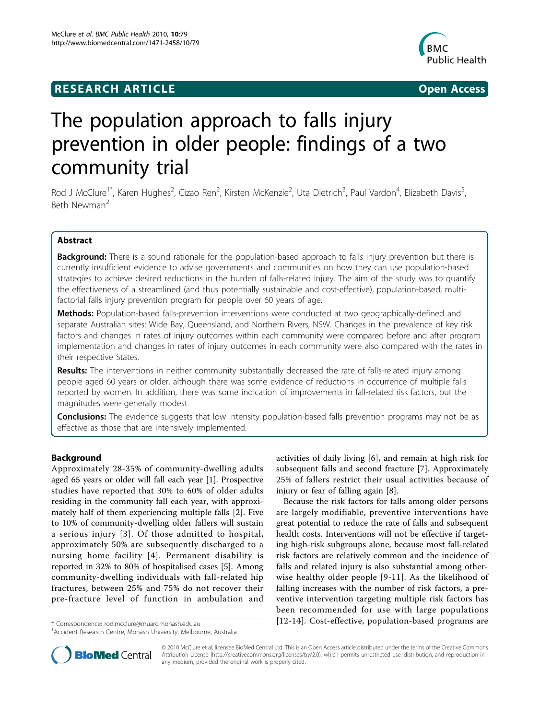## **RESEARCH ARTICLE Example 2014 12:30 The Contract of Contract ACCESS**



# The population approach to falls injury prevention in older people: findings of a two community trial

Rod J McClure<sup>1\*</sup>, Karen Hughes<sup>2</sup>, Cizao Ren<sup>2</sup>, Kirsten McKenzie<sup>2</sup>, Uta Dietrich<sup>3</sup>, Paul Vardon<sup>4</sup>, Elizabeth Davis<sup>5</sup> , Beth Newman<sup>2</sup>

## Abstract

**Background:** There is a sound rationale for the population-based approach to falls injury prevention but there is currently insufficient evidence to advise governments and communities on how they can use population-based strategies to achieve desired reductions in the burden of falls-related injury. The aim of the study was to quantify the effectiveness of a streamlined (and thus potentially sustainable and cost-effective), population-based, multifactorial falls injury prevention program for people over 60 years of age.

**Methods:** Population-based falls-prevention interventions were conducted at two geographically-defined and separate Australian sites: Wide Bay, Queensland, and Northern Rivers, NSW. Changes in the prevalence of key risk factors and changes in rates of injury outcomes within each community were compared before and after program implementation and changes in rates of injury outcomes in each community were also compared with the rates in their respective States.

Results: The interventions in neither community substantially decreased the rate of falls-related injury among people aged 60 years or older, although there was some evidence of reductions in occurrence of multiple falls reported by women. In addition, there was some indication of improvements in fall-related risk factors, but the magnitudes were generally modest.

**Conclusions:** The evidence suggests that low intensity population-based falls prevention programs may not be as effective as those that are intensively implemented.

## Background

Approximately 28-35% of community-dwelling adults aged 65 years or older will fall each year [\[1](#page-7-0)]. Prospective studies have reported that 30% to 60% of older adults residing in the community fall each year, with approximately half of them experiencing multiple falls [[2\]](#page-7-0). Five to 10% of community-dwelling older fallers will sustain a serious injury [[3](#page-7-0)]. Of those admitted to hospital, approximately 50% are subsequently discharged to a nursing home facility [[4\]](#page-7-0). Permanent disability is reported in 32% to 80% of hospitalised cases [[5\]](#page-7-0). Among community-dwelling individuals with fall-related hip fractures, between 25% and 75% do not recover their pre-fracture level of function in ambulation and

1 Accident Research Centre, Monash University, Melbourne, Australia

activities of daily living [\[6](#page-8-0)], and remain at high risk for subsequent falls and second fracture [[7\]](#page-8-0). Approximately 25% of fallers restrict their usual activities because of injury or fear of falling again [\[8](#page-8-0)].

Because the risk factors for falls among older persons are largely modifiable, preventive interventions have great potential to reduce the rate of falls and subsequent health costs. Interventions will not be effective if targeting high-risk subgroups alone, because most fall-related risk factors are relatively common and the incidence of falls and related injury is also substantial among otherwise healthy older people [[9](#page-8-0)-[11](#page-8-0)]. As the likelihood of falling increases with the number of risk factors, a preventive intervention targeting multiple risk factors has been recommended for use with large populations \* Correspondence: rod.mcclure@muarc.monash.edu.au [[12](#page-8-0)-[14](#page-8-0)]. Cost-effective, population-based programs are



© 2010 McClure et al; licensee BioMed Central Ltd. This is an Open Access article distributed under the terms of the Creative Commons Attribution License [\(http://creativecommons.org/licenses/by/2.0](http://creativecommons.org/licenses/by/2.0)), which permits unrestricted use, distribution, and reproduction in any medium, provided the original work is properly cited.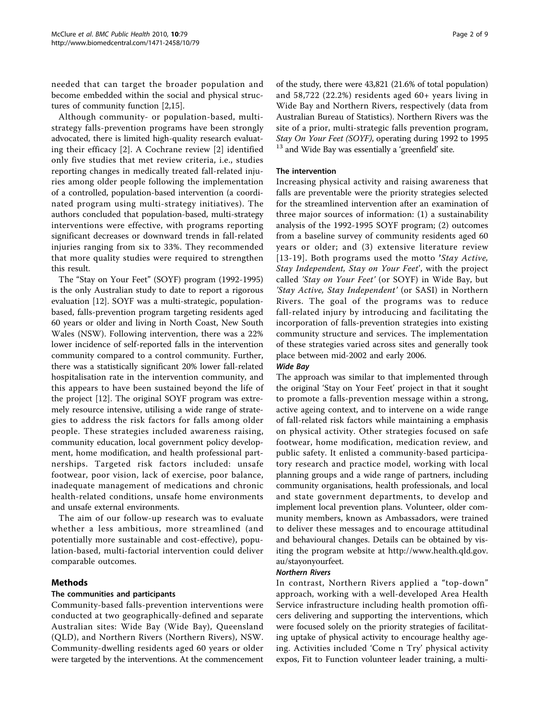needed that can target the broader population and become embedded within the social and physical structures of community function [[2](#page-7-0),[15](#page-8-0)].

Although community- or population-based, multistrategy falls-prevention programs have been strongly advocated, there is limited high-quality research evaluating their efficacy [\[2](#page-7-0)]. A Cochrane review [[2\]](#page-7-0) identified only five studies that met review criteria, i.e., studies reporting changes in medically treated fall-related injuries among older people following the implementation of a controlled, population-based intervention (a coordinated program using multi-strategy initiatives). The authors concluded that population-based, multi-strategy interventions were effective, with programs reporting significant decreases or downward trends in fall-related injuries ranging from six to 33%. They recommended that more quality studies were required to strengthen this result.

The "Stay on Your Feet" (SOYF) program (1992-1995) is the only Australian study to date to report a rigorous evaluation [\[12](#page-8-0)]. SOYF was a multi-strategic, populationbased, falls-prevention program targeting residents aged 60 years or older and living in North Coast, New South Wales (NSW). Following intervention, there was a 22% lower incidence of self-reported falls in the intervention community compared to a control community. Further, there was a statistically significant 20% lower fall-related hospitalisation rate in the intervention community, and this appears to have been sustained beyond the life of the project [\[12](#page-8-0)]. The original SOYF program was extremely resource intensive, utilising a wide range of strategies to address the risk factors for falls among older people. These strategies included awareness raising, community education, local government policy development, home modification, and health professional partnerships. Targeted risk factors included: unsafe footwear, poor vision, lack of exercise, poor balance, inadequate management of medications and chronic health-related conditions, unsafe home environments and unsafe external environments.

The aim of our follow-up research was to evaluate whether a less ambitious, more streamlined (and potentially more sustainable and cost-effective), population-based, multi-factorial intervention could deliver comparable outcomes.

## Methods

## The communities and participants

Community-based falls-prevention interventions were conducted at two geographically-defined and separate Australian sites: Wide Bay (Wide Bay), Queensland (QLD), and Northern Rivers (Northern Rivers), NSW. Community-dwelling residents aged 60 years or older were targeted by the interventions. At the commencement of the study, there were 43,821 (21.6% of total population) and 58,722 (22.2%) residents aged 60+ years living in Wide Bay and Northern Rivers, respectively (data from Australian Bureau of Statistics). Northern Rivers was the site of a prior, multi-strategic falls prevention program, Stay On Your Feet (SOYF), operating during 1992 to 1995<br><sup>13</sup> and Wide Bay was essentially a 'greenfield' site.

#### The intervention

Increasing physical activity and raising awareness that falls are preventable were the priority strategies selected for the streamlined intervention after an examination of three major sources of information: (1) a sustainability analysis of the 1992-1995 SOYF program; (2) outcomes from a baseline survey of community residents aged 60 years or older; and (3) extensive literature review [[13-19](#page-8-0)]. Both programs used the motto 'Stay Active, Stay Independent, Stay on Your Feet', with the project called 'Stay on Your Feet' (or SOYF) in Wide Bay, but 'Stay Active, Stay Independent' (or SASI) in Northern Rivers. The goal of the programs was to reduce fall-related injury by introducing and facilitating the incorporation of falls-prevention strategies into existing community structure and services. The implementation of these strategies varied across sites and generally took place between mid-2002 and early 2006.

## Wide Bay

The approach was similar to that implemented through the original 'Stay on Your Feet' project in that it sought to promote a falls-prevention message within a strong, active ageing context, and to intervene on a wide range of fall-related risk factors while maintaining a emphasis on physical activity. Other strategies focused on safe footwear, home modification, medication review, and public safety. It enlisted a community-based participatory research and practice model, working with local planning groups and a wide range of partners, including community organisations, health professionals, and local and state government departments, to develop and implement local prevention plans. Volunteer, older community members, known as Ambassadors, were trained to deliver these messages and to encourage attitudinal and behavioural changes. Details can be obtained by visiting the program website at [http://www.health.qld.gov.](http://www.health.qld.gov.au/stayonyourfeet) [au/stayonyourfeet](http://www.health.qld.gov.au/stayonyourfeet).

#### Northern Rivers

In contrast, Northern Rivers applied a "top-down" approach, working with a well-developed Area Health Service infrastructure including health promotion officers delivering and supporting the interventions, which were focused solely on the priority strategies of facilitating uptake of physical activity to encourage healthy ageing. Activities included 'Come n Try' physical activity expos, Fit to Function volunteer leader training, a multi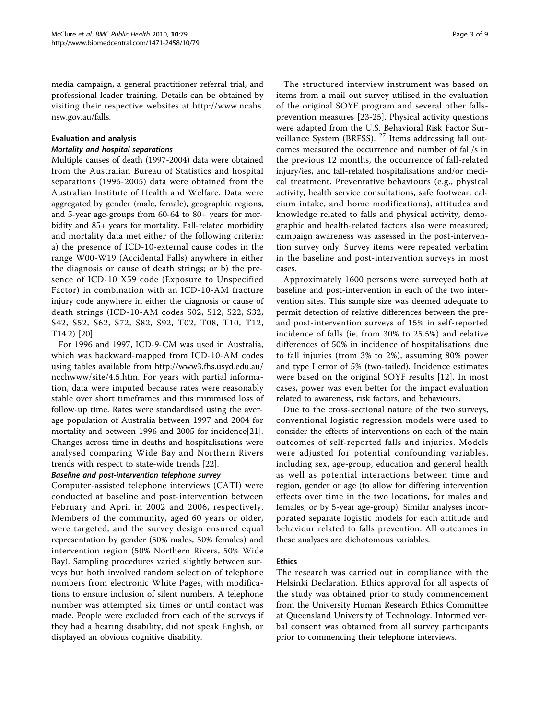media campaign, a general practitioner referral trial, and professional leader training. Details can be obtained by visiting their respective websites at [http://www.ncahs.](http://www.ncahs.nsw.gov.au/falls) [nsw.gov.au/falls](http://www.ncahs.nsw.gov.au/falls).

#### Evaluation and analysis

#### Mortality and hospital separations

Multiple causes of death (1997-2004) data were obtained from the Australian Bureau of Statistics and hospital separations (1996-2005) data were obtained from the Australian Institute of Health and Welfare. Data were aggregated by gender (male, female), geographic regions, and 5-year age-groups from 60-64 to 80+ years for morbidity and 85+ years for mortality. Fall-related morbidity and mortality data met either of the following criteria: a) the presence of ICD-10-external cause codes in the range W00-W19 (Accidental Falls) anywhere in either the diagnosis or cause of death strings; or b) the presence of ICD-10 X59 code (Exposure to Unspecified Factor) in combination with an ICD-10-AM fracture injury code anywhere in either the diagnosis or cause of death strings (ICD-10-AM codes S02, S12, S22, S32, S42, S52, S62, S72, S82, S92, T02, T08, T10, T12, T14.2) [[20](#page-8-0)].

For 1996 and 1997, ICD-9-CM was used in Australia, which was backward-mapped from ICD-10-AM codes using tables available from [http://www3.fhs.usyd.edu.au/](http://www3.fhs.usyd.edu.au/ncchwww/site/4.5.htm) [ncchwww/site/4.5.htm](http://www3.fhs.usyd.edu.au/ncchwww/site/4.5.htm). For years with partial information, data were imputed because rates were reasonably stable over short timeframes and this minimised loss of follow-up time. Rates were standardised using the average population of Australia between 1997 and 2004 for mortality and between 1996 and 2005 for incidence[\[21](#page-8-0)]. Changes across time in deaths and hospitalisations were analysed comparing Wide Bay and Northern Rivers trends with respect to state-wide trends [[22](#page-8-0)].

#### Baseline and post-intervention telephone survey

Computer-assisted telephone interviews (CATI) were conducted at baseline and post-intervention between February and April in 2002 and 2006, respectively. Members of the community, aged 60 years or older, were targeted, and the survey design ensured equal representation by gender (50% males, 50% females) and intervention region (50% Northern Rivers, 50% Wide Bay). Sampling procedures varied slightly between surveys but both involved random selection of telephone numbers from electronic White Pages, with modifications to ensure inclusion of silent numbers. A telephone number was attempted six times or until contact was made. People were excluded from each of the surveys if they had a hearing disability, did not speak English, or displayed an obvious cognitive disability.

The structured interview instrument was based on items from a mail-out survey utilised in the evaluation of the original SOYF program and several other fallsprevention measures [\[23](#page-8-0)-[25\]](#page-8-0). Physical activity questions were adapted from the U.S. Behavioral Risk Factor Surveillance System (BRFSS). <sup>27</sup> Items addressing fall outcomes measured the occurrence and number of fall/s in the previous 12 months, the occurrence of fall-related injury/ies, and fall-related hospitalisations and/or medical treatment. Preventative behaviours (e.g., physical activity, health service consultations, safe footwear, calcium intake, and home modifications), attitudes and knowledge related to falls and physical activity, demographic and health-related factors also were measured; campaign awareness was assessed in the post-intervention survey only. Survey items were repeated verbatim in the baseline and post-intervention surveys in most cases.

Approximately 1600 persons were surveyed both at baseline and post-intervention in each of the two intervention sites. This sample size was deemed adequate to permit detection of relative differences between the preand post-intervention surveys of 15% in self-reported incidence of falls (ie, from 30% to 25.5%) and relative differences of 50% in incidence of hospitalisations due to fall injuries (from 3% to 2%), assuming 80% power and type I error of 5% (two-tailed). Incidence estimates were based on the original SOYF results [[12](#page-8-0)]. In most cases, power was even better for the impact evaluation related to awareness, risk factors, and behaviours.

Due to the cross-sectional nature of the two surveys, conventional logistic regression models were used to consider the effects of interventions on each of the main outcomes of self-reported falls and injuries. Models were adjusted for potential confounding variables, including sex, age-group, education and general health as well as potential interactions between time and region, gender or age (to allow for differing intervention effects over time in the two locations, for males and females, or by 5-year age-group). Similar analyses incorporated separate logistic models for each attitude and behaviour related to falls prevention. All outcomes in these analyses are dichotomous variables.

## Ethics

The research was carried out in compliance with the Helsinki Declaration. Ethics approval for all aspects of the study was obtained prior to study commencement from the University Human Research Ethics Committee at Queensland University of Technology. Informed verbal consent was obtained from all survey participants prior to commencing their telephone interviews.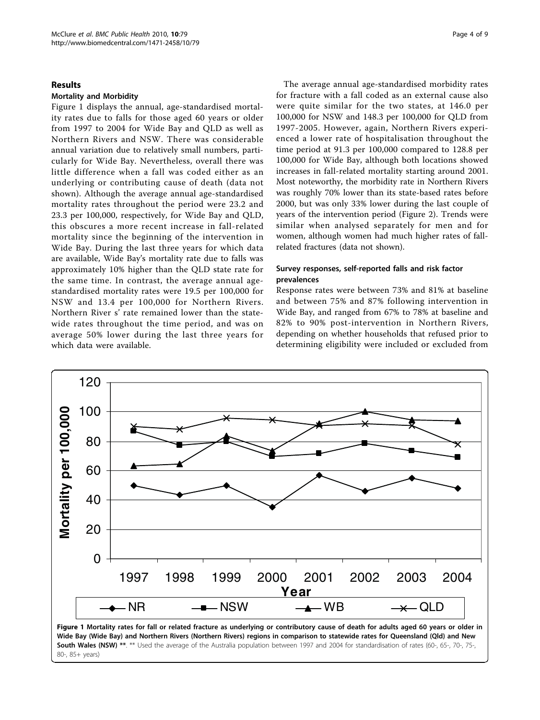#### Results

### Mortality and Morbidity

Figure 1 displays the annual, age-standardised mortality rates due to falls for those aged 60 years or older from 1997 to 2004 for Wide Bay and QLD as well as Northern Rivers and NSW. There was considerable annual variation due to relatively small numbers, particularly for Wide Bay. Nevertheless, overall there was little difference when a fall was coded either as an underlying or contributing cause of death (data not shown). Although the average annual age-standardised mortality rates throughout the period were 23.2 and 23.3 per 100,000, respectively, for Wide Bay and QLD, this obscures a more recent increase in fall-related mortality since the beginning of the intervention in Wide Bay. During the last three years for which data are available, Wide Bay's mortality rate due to falls was approximately 10% higher than the QLD state rate for the same time. In contrast, the average annual agestandardised mortality rates were 19.5 per 100,000 for NSW and 13.4 per 100,000 for Northern Rivers. Northern River s' rate remained lower than the statewide rates throughout the time period, and was on average 50% lower during the last three years for which data were available.

The average annual age-standardised morbidity rates for fracture with a fall coded as an external cause also were quite similar for the two states, at 146.0 per 100,000 for NSW and 148.3 per 100,000 for QLD from 1997-2005. However, again, Northern Rivers experienced a lower rate of hospitalisation throughout the time period at 91.3 per 100,000 compared to 128.8 per 100,000 for Wide Bay, although both locations showed increases in fall-related mortality starting around 2001. Most noteworthy, the morbidity rate in Northern Rivers was roughly 70% lower than its state-based rates before 2000, but was only 33% lower during the last couple of years of the intervention period (Figure [2\)](#page-4-0). Trends were similar when analysed separately for men and for women, although women had much higher rates of fallrelated fractures (data not shown).

## Survey responses, self-reported falls and risk factor prevalences

Response rates were between 73% and 81% at baseline and between 75% and 87% following intervention in Wide Bay, and ranged from 67% to 78% at baseline and 82% to 90% post-intervention in Northern Rivers, depending on whether households that refused prior to determining eligibility were included or excluded from



80-, 85+ years)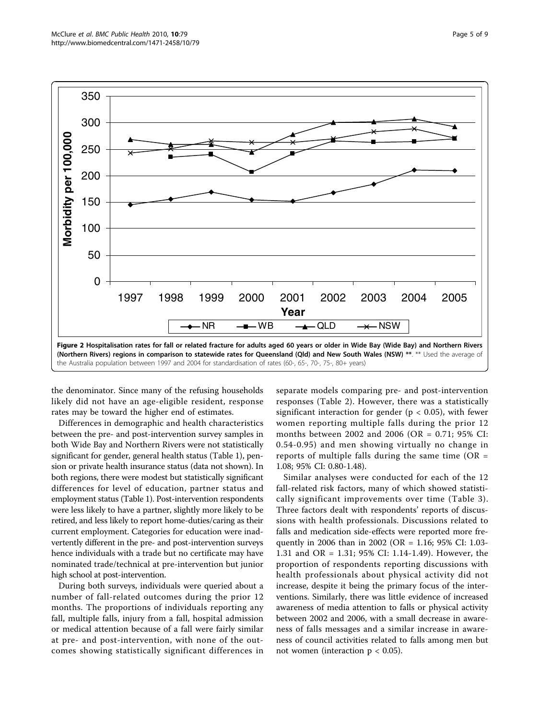<span id="page-4-0"></span>

the denominator. Since many of the refusing households likely did not have an age-eligible resident, response rates may be toward the higher end of estimates.

Differences in demographic and health characteristics between the pre- and post-intervention survey samples in both Wide Bay and Northern Rivers were not statistically significant for gender, general health status (Table [1](#page-5-0)), pension or private health insurance status (data not shown). In both regions, there were modest but statistically significant differences for level of education, partner status and employment status (Table [1](#page-5-0)). Post-intervention respondents were less likely to have a partner, slightly more likely to be retired, and less likely to report home-duties/caring as their current employment. Categories for education were inadvertently different in the pre- and post-intervention surveys hence individuals with a trade but no certificate may have nominated trade/technical at pre-intervention but junior high school at post-intervention.

During both surveys, individuals were queried about a number of fall-related outcomes during the prior 12 months. The proportions of individuals reporting any fall, multiple falls, injury from a fall, hospital admission or medical attention because of a fall were fairly similar at pre- and post-intervention, with none of the outcomes showing statistically significant differences in separate models comparing pre- and post-intervention responses (Table [2\)](#page-5-0). However, there was a statistically significant interaction for gender ( $p < 0.05$ ), with fewer women reporting multiple falls during the prior 12 months between 2002 and 2006 (OR = 0.71; 95% CI: 0.54-0.95) and men showing virtually no change in reports of multiple falls during the same time  $(OR =$ 1.08; 95% CI: 0.80-1.48).

Similar analyses were conducted for each of the 12 fall-related risk factors, many of which showed statistically significant improvements over time (Table [3\)](#page-6-0). Three factors dealt with respondents' reports of discussions with health professionals. Discussions related to falls and medication side-effects were reported more frequently in 2006 than in 2002 (OR = 1.16; 95% CI: 1.03- 1.31 and OR = 1.31; 95% CI: 1.14-1.49). However, the proportion of respondents reporting discussions with health professionals about physical activity did not increase, despite it being the primary focus of the interventions. Similarly, there was little evidence of increased awareness of media attention to falls or physical activity between 2002 and 2006, with a small decrease in awareness of falls messages and a similar increase in awareness of council activities related to falls among men but not women (interaction  $p < 0.05$ ).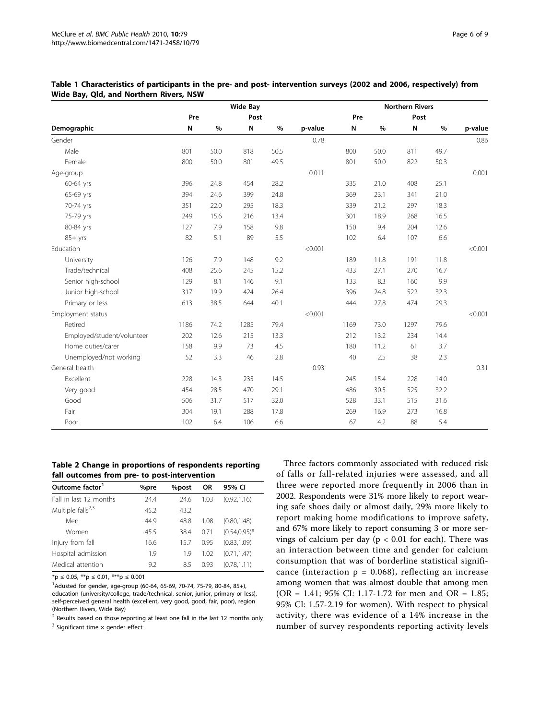|                            | <b>Wide Bay</b> |               |      |      |         | <b>Northern Rivers</b> |      |      |      |         |
|----------------------------|-----------------|---------------|------|------|---------|------------------------|------|------|------|---------|
|                            | Pre             |               | Post |      |         | Pre                    |      | Post |      |         |
| Demographic                | N               | $\frac{9}{6}$ | N    | %    | p-value | ${\sf N}$              | $\%$ | N    | %    | p-value |
| Gender                     |                 |               |      |      | 0.78    |                        |      |      |      | 0.86    |
| Male                       | 801             | 50.0          | 818  | 50.5 |         | 800                    | 50.0 | 811  | 49.7 |         |
| Female                     | 800             | 50.0          | 801  | 49.5 |         | 801                    | 50.0 | 822  | 50.3 |         |
| Age-group                  |                 |               |      |      | 0.011   |                        |      |      |      | 0.001   |
| 60-64 yrs                  | 396             | 24.8          | 454  | 28.2 |         | 335                    | 21.0 | 408  | 25.1 |         |
| 65-69 yrs                  | 394             | 24.6          | 399  | 24.8 |         | 369                    | 23.1 | 341  | 21.0 |         |
| 70-74 yrs                  | 351             | 22.0          | 295  | 18.3 |         | 339                    | 21.2 | 297  | 18.3 |         |
| 75-79 yrs                  | 249             | 15.6          | 216  | 13.4 |         | 301                    | 18.9 | 268  | 16.5 |         |
| 80-84 yrs                  | 127             | 7.9           | 158  | 9.8  |         | 150                    | 9.4  | 204  | 12.6 |         |
| $85+$ yrs                  | 82              | 5.1           | 89   | 5.5  |         | 102                    | 6.4  | 107  | 6.6  |         |
| Education                  |                 |               |      |      | < 0.001 |                        |      |      |      | < 0.001 |
| University                 | 126             | 7.9           | 148  | 9.2  |         | 189                    | 11.8 | 191  | 11.8 |         |
| Trade/technical            | 408             | 25.6          | 245  | 15.2 |         | 433                    | 27.1 | 270  | 16.7 |         |
| Senior high-school         | 129             | 8.1           | 146  | 9.1  |         | 133                    | 8.3  | 160  | 9.9  |         |
| Junior high-school         | 317             | 19.9          | 424  | 26.4 |         | 396                    | 24.8 | 522  | 32.3 |         |
| Primary or less            | 613             | 38.5          | 644  | 40.1 |         | 444                    | 27.8 | 474  | 29.3 |         |
| Employment status          |                 |               |      |      | < 0.001 |                        |      |      |      | < 0.001 |
| Retired                    | 1186            | 74.2          | 1285 | 79.4 |         | 1169                   | 73.0 | 1297 | 79.6 |         |
| Employed/student/volunteer | 202             | 12.6          | 215  | 13.3 |         | 212                    | 13.2 | 234  | 14.4 |         |
| Home duties/carer          | 158             | 9.9           | 73   | 4.5  |         | 180                    | 11.2 | 61   | 3.7  |         |
| Unemployed/not working     | 52              | 3.3           | 46   | 2.8  |         | 40                     | 2.5  | 38   | 2.3  |         |
| General health             |                 |               |      |      | 0.93    |                        |      |      |      | 0.31    |
| Excellent                  | 228             | 14.3          | 235  | 14.5 |         | 245                    | 15.4 | 228  | 14.0 |         |
| Very good                  | 454             | 28.5          | 470  | 29.1 |         | 486                    | 30.5 | 525  | 32.2 |         |
| Good                       | 506             | 31.7          | 517  | 32.0 |         | 528                    | 33.1 | 515  | 31.6 |         |
| Fair                       | 304             | 19.1          | 288  | 17.8 |         | 269                    | 16.9 | 273  | 16.8 |         |
| Poor                       | 102             | 6.4           | 106  | 6.6  |         | 67                     | 4.2  | 88   | 5.4  |         |

<span id="page-5-0"></span>Table 1 Characteristics of participants in the pre- and post- intervention surveys (2002 and 2006, respectively) from Wide Bay, Qld, and Northern Rivers, NSW

| Table 2 Change in proportions of respondents reporting |
|--------------------------------------------------------|
| fall outcomes from pre- to post-intervention           |

| Outcome factor <sup>1</sup>   | %pre | %post | 0R   | 95% CI          |
|-------------------------------|------|-------|------|-----------------|
| Fall in last 12 months        | 244  | 24.6  | 1.03 | (0.92, 1.16)    |
| Multiple falls <sup>2,3</sup> | 45.2 | 43.2  |      |                 |
| Men                           | 44.9 | 48.8  | 1.08 | (0.80, 1.48)    |
| Women                         | 45.5 | 38.4  | 0.71 | $(0.54.0.95)^*$ |
| Injury from fall              | 16.6 | 157   | 0.95 | (0.83.1.09)     |
| Hospital admission            | 1.9  | 1.9   | 1.02 | (0.71.1.47)     |
| Medical attention             | 9.2  | 8.5   | 093  | (0.78.1.11)     |
|                               |      |       |      |                 |

 $*_{p} \le 0.05$ ,  $**_{p} \le 0.01$ ,  $***_{p} \le 0.001$ 

<sup>1</sup>Adusted for gender, age-group (60-64, 65-69, 70-74, 75-79, 80-84, 85+), education (university/college, trade/technical, senior, junior, primary or less), self-perceived general health (excellent, very good, good, fair, poor), region (Northern Rivers, Wide Bay)

 $2$  Results based on those reporting at least one fall in the last 12 months only

 $3$  Significant time  $\times$  gender effect

Three factors commonly associated with reduced risk of falls or fall-related injuries were assessed, and all three were reported more frequently in 2006 than in 2002. Respondents were 31% more likely to report wearing safe shoes daily or almost daily, 29% more likely to report making home modifications to improve safety, and 67% more likely to report consuming 3 or more servings of calcium per day ( $p < 0.01$  for each). There was an interaction between time and gender for calcium consumption that was of borderline statistical significance (interaction  $p = 0.068$ ), reflecting an increase among women that was almost double that among men (OR = 1.41; 95% CI: 1.17-1.72 for men and OR = 1.85; 95% CI: 1.57-2.19 for women). With respect to physical activity, there was evidence of a 14% increase in the number of survey respondents reporting activity levels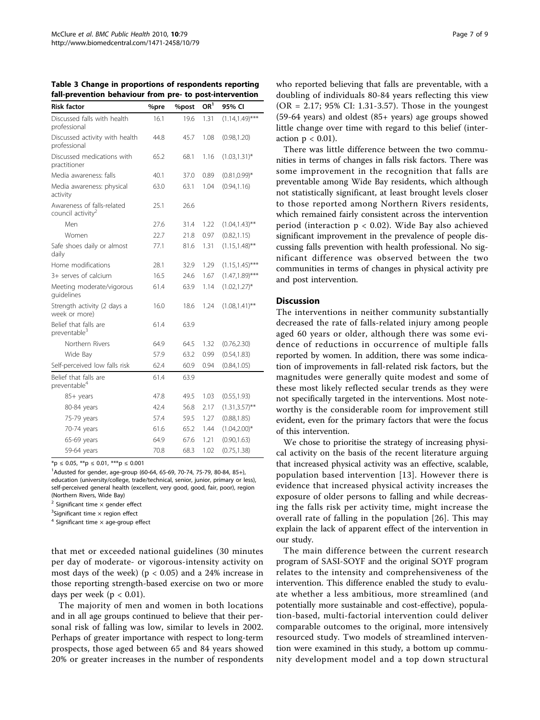<span id="page-6-0"></span>Table 3 Change in proportions of respondents reporting fall-prevention behaviour from pre- to post-intervention

| <b>Risk factor</b>                                          | %pre | %post | OR <sup>1</sup> | 95% CI             |  |  |
|-------------------------------------------------------------|------|-------|-----------------|--------------------|--|--|
| Discussed falls with health<br>professional                 | 16.1 | 19.6  | 1.31            | $(1.14, 1.49)$ *** |  |  |
| Discussed activity with health<br>professional              | 44.8 | 45.7  | 1.08            | (0.98, 1.20)       |  |  |
| Discussed medications with<br>practitioner                  | 65.2 | 68.1  | 1.16            | $(1.03, 1.31)^*$   |  |  |
| Media awareness: falls                                      | 40.1 | 37.0  | 0.89            | $(0.81, 0.99)^*$   |  |  |
| Media awareness: physical<br>activity                       | 63.0 | 63.1  | 1.04            | (0.94, 1.16)       |  |  |
| Awareness of falls-related<br>council activity <sup>2</sup> | 25.1 | 26.6  |                 |                    |  |  |
| Men                                                         | 27.6 | 31.4  | 1.22            | $(1.04, 1.43)$ **  |  |  |
| Women                                                       | 22.7 | 21.8  | 0.97            | (0.82, 1.15)       |  |  |
| Safe shoes daily or almost<br>daily                         | 77.1 | 81.6  | 1.31            | $(1.15, 1.48)$ **  |  |  |
| Home modifications                                          | 28.1 | 32.9  | 1.29            | $(1.15, 1.45)$ *** |  |  |
| 3+ serves of calcium                                        | 16.5 | 24.6  | 1.67            | $(1.47, 1.89)$ *** |  |  |
| Meeting moderate/vigorous<br>quidelines                     | 61.4 | 63.9  | 1.14            | $(1.02, 1.27)^*$   |  |  |
| Strength activity (2 days a<br>week or more)                | 16.0 | 18.6  | 1.24            | $(1.08, 1.41)$ **  |  |  |
| Belief that falls are<br>preventable <sup>3</sup>           | 61.4 | 63.9  |                 |                    |  |  |
| Northern Rivers                                             | 64.9 | 64.5  | 1.32            | (0.76, 2.30)       |  |  |
| Wide Bay                                                    | 57.9 | 63.2  | 0.99            | (0.54, 1.83)       |  |  |
| Self-perceived low falls risk                               | 62.4 | 60.9  | 0.94            | (0.84, 1.05)       |  |  |
| Belief that falls are<br>preventable <sup>4</sup>           | 61.4 | 63.9  |                 |                    |  |  |
| 85+ years                                                   | 47.8 | 49.5  | 1.03            | (0.55, 1.93)       |  |  |
| 80-84 years                                                 | 42.4 | 56.8  | 2.17            | $(1.31, 3.57)$ **  |  |  |
| 75-79 years                                                 | 57.4 | 59.5  | 1.27            | (0.88, 1.85)       |  |  |
| 70-74 years                                                 | 61.6 | 65.2  | 1.44            | $(1.04, 2.00)^*$   |  |  |
| 65-69 years                                                 | 64.9 | 67.6  | 1.21            | (0.90, 1.63)       |  |  |
| 59-64 years                                                 | 70.8 | 68.3  | 1.02            | (0.75, 1.38)       |  |  |

 $*$ p  $\leq$  0.05,  $**$ p  $\leq$  0.01,  $***$ p  $\leq$  0.001

<sup>1</sup>Adusted for gender, age-group (60-64, 65-69, 70-74, 75-79, 80-84, 85+), education (university/college, trade/technical, senior, junior, primary or less), self-perceived general health (excellent, very good, good, fair, poor), region (Northern Rivers, Wide Bay)

<sup>2</sup> Significant time  $\times$  gender effect

 $3$ Significant time  $\times$  region effect

 $^4$  Significant time  $\times$  age-group effect

that met or exceeded national guidelines (30 minutes per day of moderate- or vigorous-intensity activity on most days of the week) ( $p < 0.05$ ) and a 24% increase in those reporting strength-based exercise on two or more days per week ( $p < 0.01$ ).

The majority of men and women in both locations and in all age groups continued to believe that their personal risk of falling was low, similar to levels in 2002. Perhaps of greater importance with respect to long-term prospects, those aged between 65 and 84 years showed 20% or greater increases in the number of respondents who reported believing that falls are preventable, with a doubling of individuals 80-84 years reflecting this view (OR = 2.17; 95% CI: 1.31-3.57). Those in the youngest (59-64 years) and oldest (85+ years) age groups showed little change over time with regard to this belief (interaction  $p < 0.01$ ).

There was little difference between the two communities in terms of changes in falls risk factors. There was some improvement in the recognition that falls are preventable among Wide Bay residents, which although not statistically significant, at least brought levels closer to those reported among Northern Rivers residents, which remained fairly consistent across the intervention period (interaction p < 0.02). Wide Bay also achieved significant improvement in the prevalence of people discussing falls prevention with health professional. No significant difference was observed between the two communities in terms of changes in physical activity pre and post intervention.

#### **Discussion**

The interventions in neither community substantially decreased the rate of falls-related injury among people aged 60 years or older, although there was some evidence of reductions in occurrence of multiple falls reported by women. In addition, there was some indication of improvements in fall-related risk factors, but the magnitudes were generally quite modest and some of these most likely reflected secular trends as they were not specifically targeted in the interventions. Most noteworthy is the considerable room for improvement still evident, even for the primary factors that were the focus of this intervention.

We chose to prioritise the strategy of increasing physical activity on the basis of the recent literature arguing that increased physical activity was an effective, scalable, population based intervention [[13](#page-8-0)]. However there is evidence that increased physical activity increases the exposure of older persons to falling and while decreasing the falls risk per activity time, might increase the overall rate of falling in the population [[26\]](#page-8-0). This may explain the lack of apparent effect of the intervention in our study.

The main difference between the current research program of SASI-SOYF and the original SOYF program relates to the intensity and comprehensiveness of the intervention. This difference enabled the study to evaluate whether a less ambitious, more streamlined (and potentially more sustainable and cost-effective), population-based, multi-factorial intervention could deliver comparable outcomes to the original, more intensively resourced study. Two models of streamlined intervention were examined in this study, a bottom up community development model and a top down structural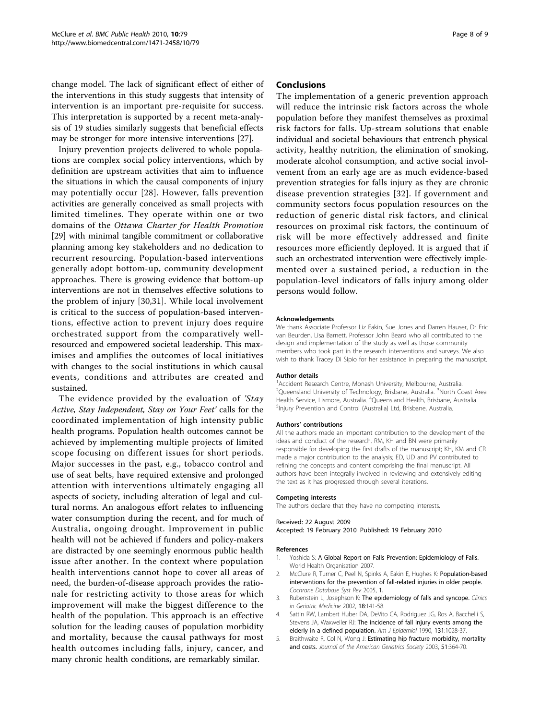<span id="page-7-0"></span>change model. The lack of significant effect of either of the interventions in this study suggests that intensity of intervention is an important pre-requisite for success. This interpretation is supported by a recent meta-analysis of 19 studies similarly suggests that beneficial effects may be stronger for more intensive interventions [[27\]](#page-8-0).

Injury prevention projects delivered to whole populations are complex social policy interventions, which by definition are upstream activities that aim to influence the situations in which the causal components of injury may potentially occur [[28](#page-8-0)]. However, falls prevention activities are generally conceived as small projects with limited timelines. They operate within one or two domains of the Ottawa Charter for Health Promotion [[29\]](#page-8-0) with minimal tangible commitment or collaborative planning among key stakeholders and no dedication to recurrent resourcing. Population-based interventions generally adopt bottom-up, community development approaches. There is growing evidence that bottom-up interventions are not in themselves effective solutions to the problem of injury [\[30](#page-8-0),[31\]](#page-8-0). While local involvement is critical to the success of population-based interventions, effective action to prevent injury does require orchestrated support from the comparatively wellresourced and empowered societal leadership. This maximises and amplifies the outcomes of local initiatives with changes to the social institutions in which causal events, conditions and attributes are created and sustained.

The evidence provided by the evaluation of 'Stay Active, Stay Independent, Stay on Your Feet' calls for the coordinated implementation of high intensity public health programs. Population health outcomes cannot be achieved by implementing multiple projects of limited scope focusing on different issues for short periods. Major successes in the past, e.g., tobacco control and use of seat belts, have required extensive and prolonged attention with interventions ultimately engaging all aspects of society, including alteration of legal and cultural norms. An analogous effort relates to influencing water consumption during the recent, and for much of Australia, ongoing drought. Improvement in public health will not be achieved if funders and policy-makers are distracted by one seemingly enormous public health issue after another. In the context where population health interventions cannot hope to cover all areas of need, the burden-of-disease approach provides the rationale for restricting activity to those areas for which improvement will make the biggest difference to the health of the population. This approach is an effective solution for the leading causes of population morbidity and mortality, because the causal pathways for most health outcomes including falls, injury, cancer, and many chronic health conditions, are remarkably similar.

#### Conclusions

The implementation of a generic prevention approach will reduce the intrinsic risk factors across the whole population before they manifest themselves as proximal risk factors for falls. Up-stream solutions that enable individual and societal behaviours that entrench physical activity, healthy nutrition, the elimination of smoking, moderate alcohol consumption, and active social involvement from an early age are as much evidence-based prevention strategies for falls injury as they are chronic disease prevention strategies [\[32\]](#page-8-0). If government and community sectors focus population resources on the reduction of generic distal risk factors, and clinical resources on proximal risk factors, the continuum of risk will be more effectively addressed and finite resources more efficiently deployed. It is argued that if such an orchestrated intervention were effectively implemented over a sustained period, a reduction in the population-level indicators of falls injury among older persons would follow.

#### Acknowledgements

We thank Associate Professor Liz Eakin, Sue Jones and Darren Hauser, Dr Eric van Beurden, Lisa Barnett, Professor John Beard who all contributed to the design and implementation of the study as well as those community members who took part in the research interventions and surveys. We also wish to thank Tracey Di Sipio for her assistance in preparing the manuscript.

#### Author details

<sup>1</sup> Accident Research Centre, Monash University, Melbourne, Australia. <sup>2</sup>Queensland University of Technology, Brisbane, Australia. <sup>3</sup>North Coast Area Health Service, Lismore, Australia. <sup>4</sup>Queensland Health, Brisbane, Australia.<br><sup>5</sup>Iniury Prevention and Control (Australia) Ltd. Brisbane, Australia. <sup>5</sup>Injury Prevention and Control (Australia) Ltd, Brisbane, Australia.

#### Authors' contributions

All the authors made an important contribution to the development of the ideas and conduct of the research. RM, KH and BN were primarily responsible for developing the first drafts of the manuscript; KH, KM and CR made a major contribution to the analysis; ED, UD and PV contributed to refining the concepts and content comprising the final manuscript. All authors have been integrally involved in reviewing and extensively editing the text as it has progressed through several iterations.

#### Competing interests

The authors declare that they have no competing interests.

#### Received: 22 August 2009

Accepted: 19 February 2010 Published: 19 February 2010

#### References

- 1. Yoshida S: A Global Report on Falls Prevention: Epidemiology of Falls. World Health Organisation 2007.
- 2. McClure R, Turner C, Peel N, Spinks A, Eakin E, Hughes K: Population-based interventions for the prevention of fall-related injuries in older people. Cochrane Database Syst Rev 2005, 1.
- 3. Rubenstein L, Josephson K: [The epidemiology of falls and syncope.](http://www.ncbi.nlm.nih.gov/pubmed/12180240?dopt=Abstract) Clinics in Geriatric Medicine 2002, 18:141-58.
- 4. Sattin RW, Lambert Huber DA, DeVito CA, Rodriguez JG, Ros A, Bacchelli S, Stevens JA, Waxweiler RJ: [The incidence of fall injury events among the](http://www.ncbi.nlm.nih.gov/pubmed/2343855?dopt=Abstract) [elderly in a defined population.](http://www.ncbi.nlm.nih.gov/pubmed/2343855?dopt=Abstract) Am J Epidemiol 1990, 131:1028-37.
- 5. Braithwaite R, Col N, Wong J: [Estimating hip fracture morbidity, mortality](http://www.ncbi.nlm.nih.gov/pubmed/12588580?dopt=Abstract) [and costs.](http://www.ncbi.nlm.nih.gov/pubmed/12588580?dopt=Abstract) Journal of the American Geriatrics Society 2003, 51:364-70.